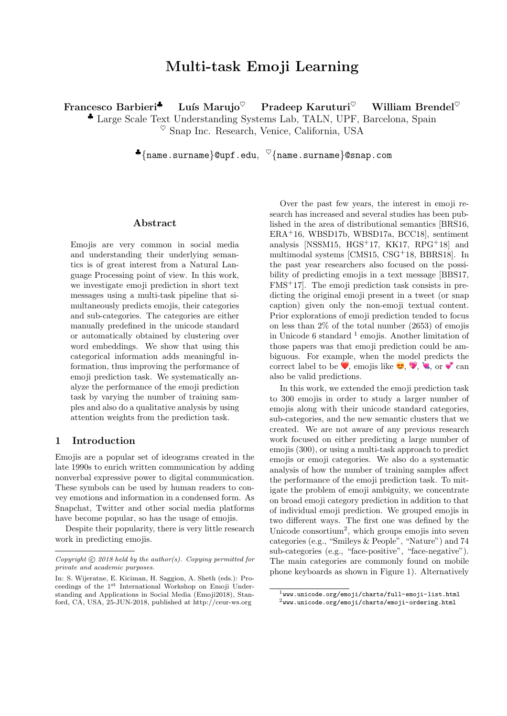# Multi-task Emoji Learning

Francesco Barbieri<sup> $\bullet$ </sup> Luís Marujo<sup> $\heartsuit$ </sup> Pradeep Karuturi $\heartsuit$  William Brendel $\heartsuit$ 

♣ Large Scale Text Understanding Systems Lab, TALN, UPF, Barcelona, Spain  $\%$  Snap Inc. Research, Venice, California, USA

 $\clubsuit \{ \texttt{name} \,. \, \texttt{sum} \}$ @upf.edu,  ${}^{\heartsuit} \{ \texttt{name} \,. \, \texttt{sum} \}$ @snap.com

# Abstract

Emojis are very common in social media and understanding their underlying semantics is of great interest from a Natural Language Processing point of view. In this work, we investigate emoji prediction in short text messages using a multi-task pipeline that simultaneously predicts emojis, their categories and sub-categories. The categories are either manually predefined in the unicode standard or automatically obtained by clustering over word embeddings. We show that using this categorical information adds meaningful information, thus improving the performance of emoji prediction task. We systematically analyze the performance of the emoji prediction task by varying the number of training samples and also do a qualitative analysis by using attention weights from the prediction task.

## 1 Introduction

Emojis are a popular set of ideograms created in the late 1990s to enrich written communication by adding nonverbal expressive power to digital communication. These symbols can be used by human readers to convey emotions and information in a condensed form. As Snapchat, Twitter and other social media platforms have become popular, so has the usage of emojis.

Despite their popularity, there is very little research work in predicting emojis.

Over the past few years, the interest in emoji research has increased and several studies has been published in the area of distributional semantics [BRS16, ERA+16, WBSD17b, WBSD17a, BCC18], sentiment analysis [NSSM15, HGS+17, KK17, RPG+18] and multimodal systems [CMS15, CSG+18, BBRS18]. In the past year researchers also focused on the possibility of predicting emojis in a text message [BBS17, FMS<sup>+</sup>17]. The emoji prediction task consists in predicting the original emoji present in a tweet (or snap caption) given only the non-emoji textual content. Prior explorations of emoji prediction tended to focus on less than 2% of the total number (2653) of emojis in Unicode 6 standard  $<sup>1</sup>$  emojis. Another limitation of</sup> those papers was that emoji prediction could be ambiguous. For example, when the model predicts the correct label to be  $\mathcal{P}$ , emojis like  $\mathcal{P}, \mathcal{P}, \mathcal{P}, \mathcal{P}$  or  $\mathcal{P}$  can also be valid predictions.

In this work, we extended the emoji prediction task to 300 emojis in order to study a larger number of emojis along with their unicode standard categories, sub-categories, and the new semantic clusters that we created. We are not aware of any previous research work focused on either predicting a large number of emojis (300), or using a multi-task approach to predict emojis or emoji categories. We also do a systematic analysis of how the number of training samples affect the performance of the emoji prediction task. To mitigate the problem of emoji ambiguity, we concentrate on broad emoji category prediction in addition to that of individual emoji prediction. We grouped emojis in two different ways. The first one was defined by the Unicode consortium<sup>2</sup> , which groups emojis into seven categories (e.g., "Smileys & People", "Nature") and 74 sub-categories (e.g., "face-positive", "face-negative"). The main categories are commonly found on mobile phone keyboards as shown in Figure 1). Alternatively

Copyright  $\odot$  2018 held by the author(s). Copying permitted for private and academic purposes.

In: S. Wijeratne, E. Kiciman, H. Saggion, A. Sheth (eds.): Proceedings of the 1st International Workshop on Emoji Understanding and Applications in Social Media (Emoji2018), Stanford, CA, USA, 25-JUN-2018, published at http://ceur-ws.org

<sup>1</sup>www.unicode.org/emoji/charts/full-emoji-list.html  $2$ www.unicode.org/emoji/charts/emoji-ordering.html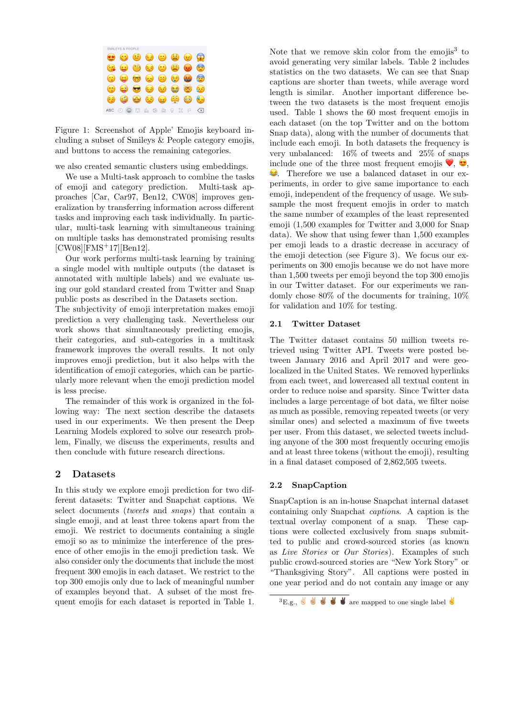

Figure 1: Screenshot of Apple' Emojis keyboard including a subset of Smileys & People category emojis, and buttons to access the remaining categories.

we also created semantic clusters using embeddings.

We use a Multi-task approach to combine the tasks of emoji and category prediction. Multi-task approaches [Car, Car97, Ben12, CW08] improves generalization by transferring information across different tasks and improving each task individually. In particular, multi-task learning with simultaneous training on multiple tasks has demonstrated promising results [CW08][FMS+17][Ben12].

Our work performs multi-task learning by training a single model with multiple outputs (the dataset is annotated with multiple labels) and we evaluate using our gold standard created from Twitter and Snap public posts as described in the Datasets section.

The subjectivity of emoji interpretation makes emoji prediction a very challenging task. Nevertheless our work shows that simultaneously predicting emojis, their categories, and sub-categories in a multitask framework improves the overall results. It not only improves emoji prediction, but it also helps with the identification of emoji categories, which can be particularly more relevant when the emoji prediction model is less precise.

The remainder of this work is organized in the following way: The next section describe the datasets used in our experiments. We then present the Deep Learning Models explored to solve our research problem, Finally, we discuss the experiments, results and then conclude with future research directions.

## 2 Datasets

In this study we explore emoji prediction for two different datasets: Twitter and Snapchat captions. We select documents (tweets and snaps) that contain a single emoji, and at least three tokens apart from the emoji. We restrict to documents containing a single emoji so as to minimize the interference of the presence of other emojis in the emoji prediction task. We also consider only the documents that include the most frequent 300 emojis in each dataset. We restrict to the top 300 emojis only due to lack of meaningful number of examples beyond that. A subset of the most frequent emojis for each dataset is reported in Table 1.

Note that we remove skin color from the emojis<sup>3</sup> to avoid generating very similar labels. Table 2 includes statistics on the two datasets. We can see that Snap captions are shorter than tweets, while average word length is similar. Another important difference between the two datasets is the most frequent emojis used. Table 1 shows the 60 most frequent emojis in each dataset (on the top Twitter and on the bottom Snap data), along with the number of documents that include each emoji. In both datasets the frequency is very unbalanced: 16% of tweets and 25% of snaps include one of the three most frequent emojis  $\bullet$ ,  $\bullet$ , . Therefore we use a balanced dataset in our experiments, in order to give same importance to each emoji, independent of the frequency of usage. We subsample the most frequent emojis in order to match the same number of examples of the least represented emoji (1,500 examples for Twitter and 3,000 for Snap data). We show that using fewer than 1,500 examples per emoji leads to a drastic decrease in accuracy of the emoji detection (see Figure 3). We focus our experiments on 300 emojis because we do not have more than 1,500 tweets per emoji beyond the top 300 emojis in our Twitter dataset. For our experiments we randomly chose 80% of the documents for training, 10% for validation and 10% for testing.

## 2.1 Twitter Dataset

The Twitter dataset contains 50 million tweets retrieved using Twitter API. Tweets were posted between January 2016 and April 2017 and were geolocalized in the United States. We removed hyperlinks from each tweet, and lowercased all textual content in order to reduce noise and sparsity. Since Twitter data includes a large percentage of bot data, we filter noise as much as possible, removing repeated tweets (or very similar ones) and selected a maximum of five tweets per user. From this dataset, we selected tweets including anyone of the 300 most frequently occuring emojis and at least three tokens (without the emoji), resulting in a final dataset composed of 2,862,505 tweets.

## 2.2 SnapCaption

SnapCaption is an in-house Snapchat internal dataset containing only Snapchat captions. A caption is the textual overlay component of a snap. These captions were collected exclusively from snaps submitted to public and crowd-sourced stories (as known as Live Stories or Our Stories). Examples of such public crowd-sourced stories are "New York Story" or "Thanksgiving Story". All captions were posted in one year period and do not contain any image or any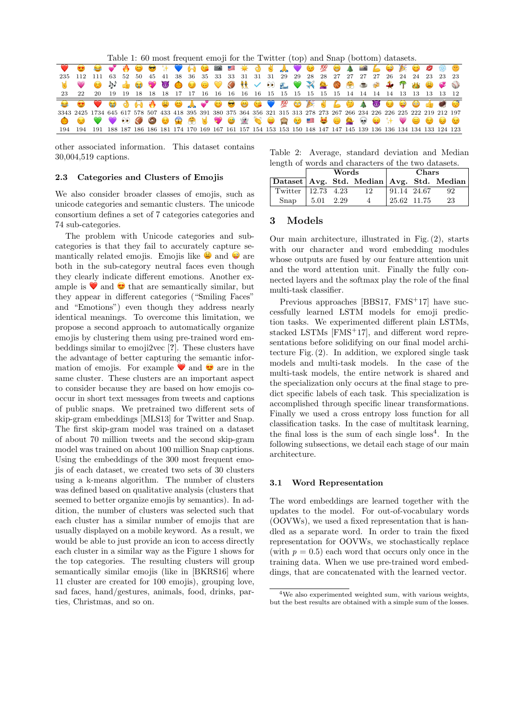Table 1: 60 most frequent emoji for the Twitter (top) and Snap (bottom) datasets.

| VO O V A O O H V A G B E X J J V O M O A B L O X O 0 9 8 9                                                                 |  |  |  |  |  |  |  |  |  |  |  |  |  |  |
|----------------------------------------------------------------------------------------------------------------------------|--|--|--|--|--|--|--|--|--|--|--|--|--|--|
| 235 112 111 63 52 50 45 41 38 36 35 33 33 31 31 31 29 29 28 28 27 27 27 27 26 24 24 23 23 23                               |  |  |  |  |  |  |  |  |  |  |  |  |  |  |
| <b>E</b> CO                                                                                                                |  |  |  |  |  |  |  |  |  |  |  |  |  |  |
|                                                                                                                            |  |  |  |  |  |  |  |  |  |  |  |  |  |  |
|                                                                                                                            |  |  |  |  |  |  |  |  |  |  |  |  |  |  |
| 3343 2425 1734 645 617 578 507 433 418 395 391 380 375 364 356 321 315 313 278 273 267 266 234 226 226 225 222 219 212 197 |  |  |  |  |  |  |  |  |  |  |  |  |  |  |
| ● ● ♥ ♥ ® 9 ● ® ® ® ₹ ♥ ● ® ₹ ● ® ® ■ <del>●</del> ● <u>®</u> ● <del>↓</del> ♥ ● ● ● ●                                     |  |  |  |  |  |  |  |  |  |  |  |  |  |  |
| 194 194 191 188 187 186 186 181 174 170 169 167 161 157 154 153 153 150 148 147 147 145 139 136 136 134 134 133 124 123    |  |  |  |  |  |  |  |  |  |  |  |  |  |  |

other associated information. This dataset contains 30,004,519 captions.

## 2.3 Categories and Clusters of Emojis

We also consider broader classes of emojis, such as unicode categories and semantic clusters. The unicode consortium defines a set of 7 categories categories and 74 sub-categories.

The problem with Unicode categories and subcategories is that they fail to accurately capture semantically related emojis. Emojis like  $\bullet$  and  $\bullet$  are both in the sub-category neutral faces even though they clearly indicate different emotions. Another example is  $\bullet$  and  $\bullet$  that are semantically similar, but they appear in different categories ("Smiling Faces" and "Emotions") even though they address nearly identical meanings. To overcome this limitation, we propose a second approach to automatically organize emojis by clustering them using pre-trained word embeddings similar to emoji2vec [?]. These clusters have the advantage of better capturing the semantic information of emojis. For example  $\bullet$  and  $\bullet$  are in the same cluster. These clusters are an important aspect to consider because they are based on how emojis cooccur in short text messages from tweets and captions of public snaps. We pretrained two different sets of skip-gram embeddings [MLS13] for Twitter and Snap. The first skip-gram model was trained on a dataset of about 70 million tweets and the second skip-gram model was trained on about 100 million Snap captions. Using the embeddings of the 300 most frequent emojis of each dataset, we created two sets of 30 clusters using a k-means algorithm. The number of clusters was defined based on qualitative analysis (clusters that seemed to better organize emojis by semantics). In addition, the number of clusters was selected such that each cluster has a similar number of emojis that are usually displayed on a mobile keyword. As a result, we would be able to just provide an icon to access directly each cluster in a similar way as the Figure 1 shows for the top categories. The resulting clusters will group semantically similar emojis (like in [BKRS16] where 11 cluster are created for 100 emojis), grouping love, sad faces, hand/gestures, animals, food, drinks, parties, Christmas, and so on.

Table 2: Average, standard deviation and Median length of words and characters of the two datasets.

|                                               | Words |          |             | Chars |     |
|-----------------------------------------------|-------|----------|-------------|-------|-----|
| Dataset   Avg. Std. Median   Avg. Std. Median |       |          |             |       |     |
| Twitter   12.73 4.23                          |       | 12       | 91.14 24.67 |       | -92 |
| $S$ nap   5.01 2.29                           |       | $\Delta$ | 25.62 11.75 |       | 23  |

# 3 Models

Our main architecture, illustrated in Fig. (2), starts with our character and word embedding modules whose outputs are fused by our feature attention unit and the word attention unit. Finally the fully connected layers and the softmax play the role of the final multi-task classifier.

Previous approaches [BBS17, FMS<sup>+</sup>17] have successfully learned LSTM models for emoji prediction tasks. We experimented different plain LSTMs, stacked LSTMs [FMS+17], and different word representations before solidifying on our final model architecture Fig. (2). In addition, we explored single task models and multi-task models. In the case of the multi-task models, the entire network is shared and the specialization only occurs at the final stage to predict specific labels of each task. This specialization is accomplished through specific linear transformations. Finally we used a cross entropy loss function for all classification tasks. In the case of multitask learning, the final loss is the sum of each single  $loss<sup>4</sup>$ . In the following subsections, we detail each stage of our main architecture.

#### 3.1 Word Representation

The word embeddings are learned together with the updates to the model. For out-of-vocabulary words (OOVWs), we used a fixed representation that is handled as a separate word. In order to train the fixed representation for OOVWs, we stochastically replace (with  $p = 0.5$ ) each word that occurs only once in the training data. When we use pre-trained word embeddings, that are concatenated with the learned vector.

<sup>4</sup>We also experimented weighted sum, with various weights, but the best results are obtained with a simple sum of the losses.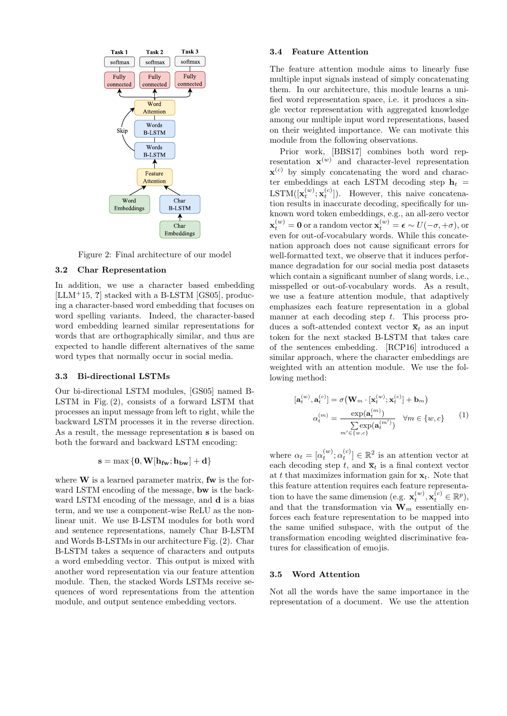

Figure 2: Final architecture of our model

## 3.2 Char Representation

In addition, we use a character based embedding  $[LLM+15, ?]$  stacked with a B-LSTM  $[GS05]$ , producing a character-based word embedding that focuses on word spelling variants. Indeed, the character-based word embedding learned similar representations for words that are orthographically similar, and thus are expected to handle different alternatives of the same word types that normally occur in social media.

## 3.3 Bi-directional LSTMs

Our bi-directional LSTM modules, [GS05] named B-LSTM in Fig. (2), consists of a forward LSTM that processes an input message from left to right, while the backward LSTM processes it in the reverse direction. As a result, the message representation s is based on both the forward and backward LSTM encoding:

$$
\mathbf{s} = \max\left\{\mathbf{0}, \mathbf{W}[\mathbf{h_{fw}}; \mathbf{h_{bw}}] + \mathbf{d}\right\}
$$

where  $W$  is a learned parameter matrix, fw is the forward LSTM encoding of the message, bw is the backward LSTM encoding of the message, and **d** is a bias term, and we use a component-wise ReLU as the nonlinear unit. We use B-LSTM modules for both word and sentence representations, namely Char B-LSTM and Words B-LSTMs in our architecture Fig. (2). Char B-LSTM takes a sequence of characters and outputs a word embedding vector. This output is mixed with another word representation via our feature attention module. Then, the stacked Words LSTMs receive sequences of word representations from the attention module, and output sentence embedding vectors.

## 3.4 Feature Attention

The feature attention module aims to linearly fuse multiple input signals instead of simply concatenating them. In our architecture, this module learns a unified word representation space, i.e. it produces a single vector representation with aggregated knowledge among our multiple input word representations, based on their weighted importance. We can motivate this module from the following observations.

Prior work, [BBS17] combines both word representation  $\mathbf{x}^{(w)}$  and character-level representation  $\mathbf{x}^{(c)}$  by simply concatenating the word and character embeddings at each LSTM decoding step  $h_t$  = LSTM( $[\mathbf{x}_t^{(w)}; \mathbf{x}_t^{(c)}]$ ). However, this naive concatenation results in inaccurate decoding, specifically for unknown word token embeddings, e.g., an all-zero vector  $\mathbf{x}_{t}^{(w)} = \mathbf{0}$  or a random vector  $\mathbf{x}_{t}^{(w)} = \boldsymbol{\epsilon} \sim U(-\sigma, +\sigma)$ , or even for out-of-vocabulary words. While this concatenation approach does not cause significant errors for well-formatted text, we observe that it induces performance degradation for our social media post datasets which contain a significant number of slang words, i.e., misspelled or out-of-vocabulary words. As a result, we use a feature attention module, that adaptively emphasizes each feature representation in a global manner at each decoding step t. This process produces a soft-attended context vector  $\bar{\mathbf{x}}_t$  as an input token for the next stacked B-LSTM that takes care of the sentences embedding. [RCP16] introduced a similar approach, where the character embeddings are weighted with an attention module. We use the following method:

$$
[\mathbf{a}_{t}^{(w)}, \mathbf{a}_{t}^{(c)}] = \sigma \big(\mathbf{W}_{m} \cdot [\mathbf{x}_{t}^{(w)}; \mathbf{x}_{t}^{(c)}] + \mathbf{b}_{m}\big)
$$

$$
\alpha_{t}^{(m)} = \frac{\exp(\mathbf{a}_{t}^{(m)})}{\sum \exp(\mathbf{a}_{t}^{(m')})} \quad \forall m \in \{w, c\}
$$
 (1)

where  $\alpha_t = [\alpha_t^{(w)}; \alpha_t^{(c)}] \in \mathbb{R}^2$  is an attention vector at each decoding step t, and  $\bar{\mathbf{x}}_t$  is a final context vector at t that maximizes information gain for  $x_t$ . Note that this feature attention requires each feature representation to have the same dimension (e.g.  $\mathbf{x}_t^{(w)}, \mathbf{x}_t^{(c)} \in \mathbb{R}^p$ ), and that the transformation via  $\widetilde{\mathbf{W}}_m$  essentially enforces each feature representation to be mapped into the same unified subspace, with the output of the transformation encoding weighted discriminative features for classification of emojis.

#### 3.5 Word Attention

Not all the words have the same importance in the representation of a document. We use the attention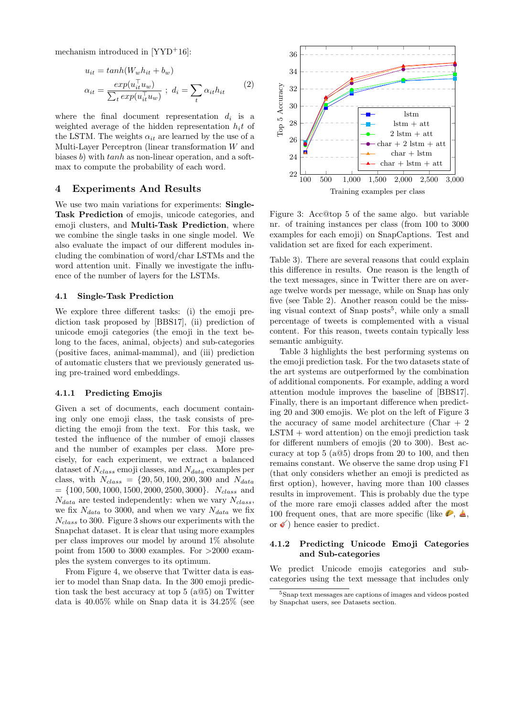mechanism introduced in [YYD<sup>+</sup>16]:

$$
u_{it} = \tanh(W_w h_{it} + b_w)
$$
  

$$
\alpha_{it} = \frac{\exp(u_{it}^\top u_w)}{\sum_t \exp(u_{it}^\top u_w)} \; ; \; d_i = \sum_t \alpha_{it} h_{it} \tag{2}
$$

where the final document representation  $d_i$  is a weighted average of the hidden representation  $h_i t$  of the LSTM. The weights  $\alpha_{it}$  are learned by the use of a Multi-Layer Perceptron (linear transformation W and biases b) with  $tanh$  as non-linear operation, and a softmax to compute the probability of each word.

## 4 Experiments And Results

We use two main variations for experiments: **Single-**Task Prediction of emojis, unicode categories, and emoji clusters, and Multi-Task Prediction, where we combine the single tasks in one single model. We also evaluate the impact of our different modules including the combination of word/char LSTMs and the word attention unit. Finally we investigate the influence of the number of layers for the LSTMs.

## 4.1 Single-Task Prediction

We explore three different tasks: (i) the emoji prediction task proposed by [BBS17], (ii) prediction of unicode emoji categories (the emoji in the text belong to the faces, animal, objects) and sub-categories (positive faces, animal-mammal), and (iii) prediction of automatic clusters that we previously generated using pre-trained word embeddings.

#### 4.1.1 Predicting Emojis

Given a set of documents, each document containing only one emoji class, the task consists of predicting the emoji from the text. For this task, we tested the influence of the number of emoji classes and the number of examples per class. More precisely, for each experiment, we extract a balanced dataset of  $N_{class}$  emoji classes, and  $N_{data}$  examples per class, with  $N_{class} = \{20, 50, 100, 200, 300 \text{ and } N_{data}\}$  $= \{100, 500, 1000, 1500, 2000, 2500, 3000\}.$   $N_{class}$  and  $N_{data}$  are tested independently: when we vary  $N_{class}$ , we fix  $N_{data}$  to 3000, and when we vary  $N_{data}$  we fix  $N_{class}$  to 300. Figure 3 shows our experiments with the Snapchat dataset. It is clear that using more examples per class improves our model by around 1% absolute point from 1500 to 3000 examples. For >2000 examples the system converges to its optimum.

From Figure 4, we observe that Twitter data is easier to model than Snap data. In the 300 emoji prediction task the best accuracy at top 5 (a@5) on Twitter data is 40.05% while on Snap data it is 34.25% (see



Figure 3: Acc@top 5 of the same algo. but variable nr. of training instances per class (from 100 to 3000 examples for each emoji) on SnapCaptions. Test and validation set are fixed for each experiment.

Table 3). There are several reasons that could explain this difference in results. One reason is the length of the text messages, since in Twitter there are on average twelve words per message, while on Snap has only five (see Table 2). Another reason could be the missing visual context of Snap posts<sup>5</sup>, while only a small percentage of tweets is complemented with a visual content. For this reason, tweets contain typically less semantic ambiguity.

Table 3 highlights the best performing systems on the emoji prediction task. For the two datasets state of the art systems are outperformed by the combination of additional components. For example, adding a word attention module improves the baseline of [BBS17]. Finally, there is an important difference when predicting 20 and 300 emojis. We plot on the left of Figure 3 the accuracy of same model architecture (Char  $+2$  $LSTM + word attention$  on the emoji prediction task for different numbers of emojis (20 to 300). Best accuracy at top 5 (a@5) drops from 20 to 100, and then remains constant. We observe the same drop using F1 (that only considers whether an emoji is predicted as first option), however, having more than 100 classes results in improvement. This is probably due the type of the more rare emoji classes added after the most 100 frequent ones, that are more specific (like  $\blacktriangleright$ ,  $\blacktriangle$ , or  $\bullet$ ) hence easier to predict.

## 4.1.2 Predicting Unicode Emoji Categories and Sub-categories

We predict Unicode emojis categories and subcategories using the text message that includes only

<sup>5</sup>Snap text messages are captions of images and videos posted by Snapchat users, see Datasets section.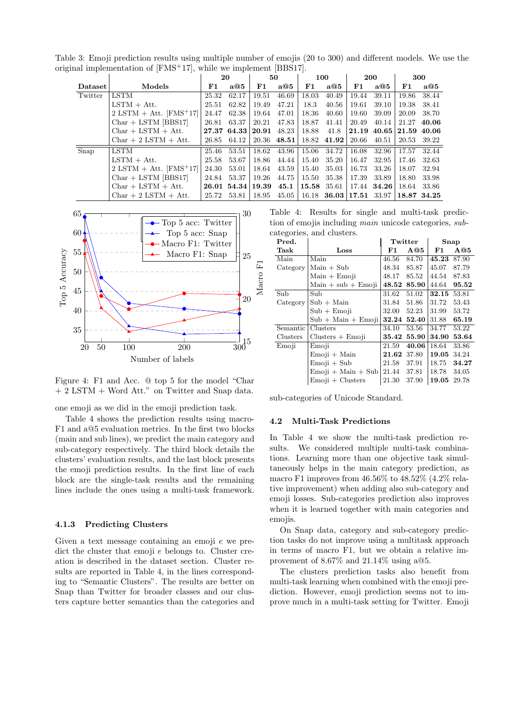Table 3: Emoji prediction results using multiple number of emojis (20 to 300) and different models. We use the original implementation of [FMS+17], while we implement [BBS17].

|         |                                       |       | 20                           |       | 50          |           | 100                             |       | <b>200</b>                            |             | 300   |
|---------|---------------------------------------|-------|------------------------------|-------|-------------|-----------|---------------------------------|-------|---------------------------------------|-------------|-------|
| Dataset | Models                                | F1.   | a@5                          | F1    | a@5         | F1        | a@5                             | F1    | a@5                                   | F1          | a@5   |
| Twitter | LSTM                                  | 25.32 | 62.17                        | 19.51 | 46.69       | 18.03     | 40.49                           | 19.44 | 39.11                                 | 19.86       | 38.44 |
|         | $LSTM + Att.$                         | 25.51 | 62.82                        | 19.49 | 47.21       | 18.3      | 40.56                           | 19.61 | 39.10                                 | 19.38       | 38.41 |
|         | $2$ LSTM + Att. [FMS <sup>+</sup> 17] | 24.47 | 62.38                        | 19.64 | 47.01       | 18.36     | 40.60                           | 19.60 | 39.09                                 | 20.09       | 38.70 |
|         | $Char + LSTM$ [BBS17]                 | 26.81 | 63.37                        | 20.21 | 47.83       | 18.87     | 41.41                           | 20.49 | 40.14                                 | 21.27       | 40.06 |
|         | $Char + LSTM + Att.$                  |       | $27.37$ 64.33 $ 20.91$ 48.23 |       |             | 18.88     | 41.8                            |       | $21.19 \ \ 40.65 \ \ 21.59 \ \ 40.06$ |             |       |
|         | $Char + 2 LSTM + Att.$                | 26.85 | 64.12                        |       | 20.36 48.51 |           | 18.82 41.92                     | 20.66 | 40.51                                 | 20.53       | 39.22 |
| Snap    | LSTM                                  | 25.46 | 53.51                        | 18.62 | 43.96       | $15.06\,$ | 34.72                           | 16.08 | 32.96                                 | 17.57       | 32.44 |
|         | $LSTM + Att.$                         | 25.58 | 53.67                        | 18.86 | 44.44       | 15.40     | 35.20                           | 16.47 | 32.95                                 | 17.46       | 32.63 |
|         | $2$ LSTM + Att. [FMS <sup>+</sup> 17] | 24.30 | 53.01                        | 18.64 | 43.59       | 15.40     | 35.03                           | 16.73 | 33.26                                 | 18.07       | 32.94 |
|         | $Char + LSTM$ [BBS17]                 | 24.84 | 53.37                        | 19.26 | 44.75       | 15.50     | 35.38                           | 17.39 | 33.89                                 | 18.80       | 33.98 |
|         | $Char + LSTM + Att.$                  |       | 26.01 54.34 19.39            |       | 45.1        |           | $\vert 15.58 \vert 35.61 \vert$ |       | 17.44 34.26                           | 18.64       | 33.86 |
|         | $Char + 2 LSTM + Att.$                | 25.72 | 53.81                        | 18.95 | 45.05       |           | $16.18$ 36.03 17.51 33.97       |       |                                       | 18.87 34.25 |       |



Figure 4: F1 and Acc. @ top 5 for the model "Char + 2 LSTM + Word Att." on Twitter and Snap data.

one emoji as we did in the emoji prediction task.

Table 4 shows the prediction results using macro-F1 and a@5 evaluation metrics. In the first two blocks (main and sub lines), we predict the main category and sub-category respectively. The third block details the clusters' evaluation results, and the last block presents the emoji prediction results. In the first line of each block are the single-task results and the remaining lines include the ones using a multi-task framework.

## 4.1.3 Predicting Clusters

Given a text message containing an emoji e we predict the cluster that emoji e belongs to. Cluster creation is described in the dataset section. Cluster results are reported in Table 4, in the lines corresponding to "Semantic Clusters". The results are better on Snap than Twitter for broader classes and our clusters capture better semantics than the categories and

Table 4: Results for single and multi-task prediction of emojis including main unicode categories, subcategories, and clusters.

| Pred.    |                      |             | Twitter |       | Snap  |
|----------|----------------------|-------------|---------|-------|-------|
| Task     | Loss                 | F1          | A@5     | F1    | A@5   |
| Main     | Main                 | 46.56       | 84.70   | 45.23 | 87.90 |
| Category | $Main + Sub$         | 48.34       | 85.87   | 45.07 | 87.79 |
|          | $Main + Emoji$       | 48.17       | 85.52   | 44.54 | 87.83 |
|          | $Main + sub + Emoji$ | 48.52       | 85.90   | 44.64 | 95.52 |
| Sub      | Sub                  | 31.62       | 51.02   | 32.15 | 53.81 |
| Category | $Sub + Main$         | 31.84       | 51.86   | 31.72 | 53.43 |
|          | $Sub + Emoii$        | 32.00       | 52.23   | 31.99 | 53.72 |
|          | $Sub + Main + Emoji$ | 32.24       | 52.40   | 31.88 | 65.19 |
| Semantic | Clusters             | 34.10       | 53.56   | 34.77 | 53.22 |
| Clusters | $Clusters + Emoji$   | $\bf 35.42$ | 55.90   | 34.90 | 53.64 |
| Emoji    | Emoji                | 21.59       | 40.06   | 18.64 | 33.86 |
|          | Emoji + Main         | 21.62       | 37.80   | 19.05 | 34.24 |
|          | $Emoii + Sub$        | 21.58       | 37.91   | 18.75 | 34.27 |
|          | $Emoji + Main + Sub$ | 21.44       | 37.81   | 18.78 | 34.05 |
|          | $Emoji + Clusters$   | 21.30       | 37.90   | 19.05 | 29.78 |

sub-categories of Unicode Standard.

### 4.2 Multi-Task Predictions

In Table 4 we show the multi-task prediction results. We considered multiple multi-task combinations. Learning more than one objective task simultaneously helps in the main category prediction, as macro F1 improves from 46.56% to 48.52% (4.2% relative improvement) when adding also sub-category and emoji losses. Sub-categories prediction also improves when it is learned together with main categories and emojis.

On Snap data, category and sub-category prediction tasks do not improve using a multitask approach in terms of macro F1, but we obtain a relative improvement of 8.67% and 21.14% using a@5.

The clusters prediction tasks also benefit from multi-task learning when combined with the emoji prediction. However, emoji prediction seems not to improve much in a multi-task setting for Twitter. Emoji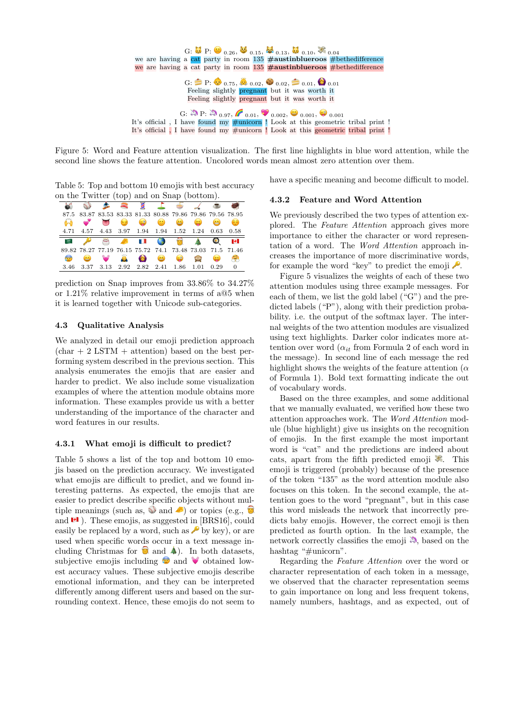

Figure 5: Word and Feature attention visualization. The first line highlights in blue word attention, while the second line shows the feature attention. Uncolored words mean almost zero attention over them.

Table 5: Top and bottom 10 emojis with best accuracy on the Twitter (top) and on Snap (bottom).

|              |                                                                  |            | <b>Report</b> |                                                           |                                                                                                                                                                                                                                      |              |            |           |      |
|--------------|------------------------------------------------------------------|------------|---------------|-----------------------------------------------------------|--------------------------------------------------------------------------------------------------------------------------------------------------------------------------------------------------------------------------------------|--------------|------------|-----------|------|
| 87.5         |                                                                  |            |               | 83.87 83.53 83.33 81.33 80.88 79.86 79.86 79.56 78.95     |                                                                                                                                                                                                                                      |              |            |           |      |
|              |                                                                  |            |               | 8 8 9 8                                                   |                                                                                                                                                                                                                                      |              | $\approx$  | $\bullet$ | 63   |
| 4.71         |                                                                  |            |               | 4.57 4.43 3.97 1.94 1.94 1.52 1.24                        |                                                                                                                                                                                                                                      |              |            | 0.63      | 0.58 |
|              |                                                                  |            |               |                                                           |                                                                                                                                                                                                                                      |              |            |           |      |
| $-525$       |                                                                  | <b>AND</b> |               | $\mathbb{R}$ in $\mathbb{R}$                              | <b>Contract of the Contract of the Contract of the Contract of the Contract of the Contract of the Contract of the Contract of the Contract of the Contract of the Contract of the Contract of the Contract of the Contract of t</b> | $\mathbf{C}$ |            |           | м    |
|              |                                                                  |            |               | 89.82 78.27 77.19 76.15 75.72 74.1 73.48 73.03 71.5 71.46 |                                                                                                                                                                                                                                      |              |            |           |      |
| $\mathbf{C}$ | $\left( \begin{array}{c} \bullet \\ \bullet \end{array} \right)$ |            | Ä             |                                                           | <u>25</u>                                                                                                                                                                                                                            | $\odot$      | <b>TAY</b> | $\geq$    | Ç)   |

prediction on Snap improves from 33.86% to 34.27% or 1.21% relative improvement in terms of a@5 when it is learned together with Unicode sub-categories.

## 4.3 Qualitative Analysis

We analyzed in detail our emoji prediction approach  $(char + 2 LSTM + attention)$  based on the best performing system described in the previous section. This analysis enumerates the emojis that are easier and harder to predict. We also include some visualization examples of where the attention module obtains more information. These examples provide us with a better understanding of the importance of the character and word features in our results.

### 4.3.1 What emoji is difficult to predict?

Table 5 shows a list of the top and bottom 10 emojis based on the prediction accuracy. We investigated what emojis are difficult to predict, and we found interesting patterns. As expected, the emojis that are easier to predict describe specific objects without multiple meanings (such as,  $\mathcal{O}$  and  $\mathcal{O}$ ) or topics (e.g.,  $\mathcal{O}$ ) and  $\blacksquare$ ). These emojis, as suggested in [BRS16], could easily be replaced by a word, such as  $\bullet$  by key), or are used when specific words occur in a text message including Christmas for  $\Box$  and  $\clubsuit$ ). In both datasets, subjective emojis including  $\bullet$  and  $\bullet$  obtained lowest accuracy values. These subjective emojis describe emotional information, and they can be interpreted differently among different users and based on the surrounding context. Hence, these emojis do not seem to

have a specific meaning and become difficult to model.

## 4.3.2 Feature and Word Attention

We previously described the two types of attention explored. The Feature Attention approach gives more importance to either the character or word representation of a word. The Word Attention approach increases the importance of more discriminative words, for example the word "key" to predict the emoji  $\blacktriangleright$ .

Figure 5 visualizes the weights of each of these two attention modules using three example messages. For each of them, we list the gold label ("G") and the predicted labels ("P"), along with their prediction probability. i.e. the output of the softmax layer. The internal weights of the two attention modules are visualized using text highlights. Darker color indicates more attention over word  $(\alpha_{it}$  from Formula 2 of each word in the message). In second line of each message the red highlight shows the weights of the feature attention ( $\alpha$ of Formula 1). Bold text formatting indicate the out of vocabulary words.

Based on the three examples, and some additional that we manually evaluated, we verified how these two attention approaches work. The Word Attention module (blue highlight) give us insights on the recognition of emojis. In the first example the most important word is "cat" and the predictions are indeed about cats, apart from the fifth predicted emoji  $\mathcal{F}$ . This emoji is triggered (probably) because of the presence of the token "135" as the word attention module also focuses on this token. In the second example, the attention goes to the word "pregnant", but in this case this word misleads the network that incorrectly predicts baby emojis. However, the correct emoji is then predicted as fourth option. In the last example, the network correctly classifies the emoji  $\ddot{\bullet}$ , based on the hashtag "#unicorn".

Regarding the Feature Attention over the word or character representation of each token in a message, we observed that the character representation seems to gain importance on long and less frequent tokens, namely numbers, hashtags, and as expected, out of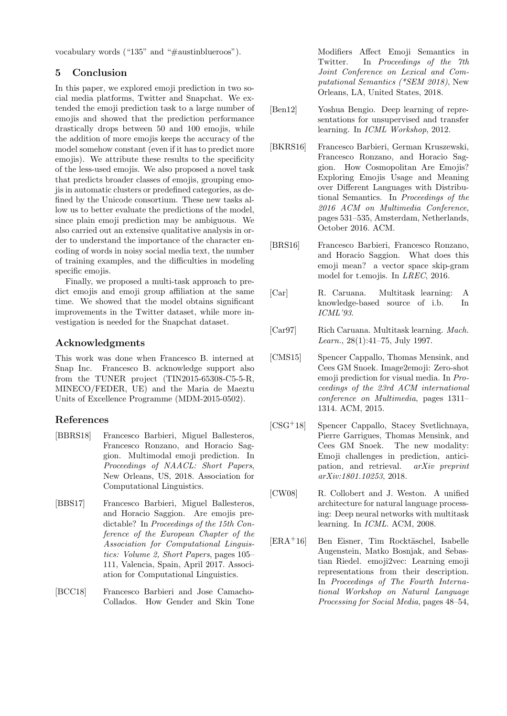vocabulary words ("135" and "#austinblueroos").

# 5 Conclusion

In this paper, we explored emoji prediction in two social media platforms, Twitter and Snapchat. We extended the emoji prediction task to a large number of emojis and showed that the prediction performance drastically drops between 50 and 100 emojis, while the addition of more emojis keeps the accuracy of the model somehow constant (even if it has to predict more emojis). We attribute these results to the specificity of the less-used emojis. We also proposed a novel task that predicts broader classes of emojis, grouping emojis in automatic clusters or predefined categories, as defined by the Unicode consortium. These new tasks allow us to better evaluate the predictions of the model, since plain emoji prediction may be ambiguous. We also carried out an extensive qualitative analysis in order to understand the importance of the character encoding of words in noisy social media text, the number of training examples, and the difficulties in modeling specific emojis.

Finally, we proposed a multi-task approach to predict emojis and emoji group affiliation at the same time. We showed that the model obtains significant improvements in the Twitter dataset, while more investigation is needed for the Snapchat dataset.

# Acknowledgments

This work was done when Francesco B. interned at Snap Inc. Francesco B. acknowledge support also from the TUNER project (TIN2015-65308-C5-5-R, MINECO/FEDER, UE) and the Maria de Maeztu Units of Excellence Programme (MDM-2015-0502).

# References

- [BBRS18] Francesco Barbieri, Miguel Ballesteros, Francesco Ronzano, and Horacio Saggion. Multimodal emoji prediction. In Proceedings of NAACL: Short Papers, New Orleans, US, 2018. Association for Computational Linguistics.
- [BBS17] Francesco Barbieri, Miguel Ballesteros, and Horacio Saggion. Are emojis predictable? In Proceedings of the 15th Conference of the European Chapter of the Association for Computational Linguistics: Volume 2, Short Papers, pages 105– 111, Valencia, Spain, April 2017. Association for Computational Linguistics.
- [BCC18] Francesco Barbieri and Jose Camacho-Collados. How Gender and Skin Tone

Modifiers Affect Emoji Semantics in Twitter. In Proceedings of the 7th Joint Conference on Lexical and Computational Semantics (\*SEM 2018), New Orleans, LA, United States, 2018.

- [Ben12] Yoshua Bengio. Deep learning of representations for unsupervised and transfer learning. In ICML Workshop, 2012.
- [BKRS16] Francesco Barbieri, German Kruszewski, Francesco Ronzano, and Horacio Saggion. How Cosmopolitan Are Emojis? Exploring Emojis Usage and Meaning over Different Languages with Distributional Semantics. In Proceedings of the 2016 ACM on Multimedia Conference, pages 531–535, Amsterdam, Netherlands, October 2016. ACM.
- [BRS16] Francesco Barbieri, Francesco Ronzano, and Horacio Saggion. What does this emoji mean? a vector space skip-gram model for t.emojis. In LREC, 2016.
- [Car] R. Caruana. Multitask learning: A knowledge-based source of i.b. In ICML'93.
- [Car97] Rich Caruana. Multitask learning. Mach. Learn., 28(1):41–75, July 1997.
- [CMS15] Spencer Cappallo, Thomas Mensink, and Cees GM Snoek. Image2emoji: Zero-shot emoji prediction for visual media. In Proceedings of the 23rd ACM international conference on Multimedia, pages 1311– 1314. ACM, 2015.
- [CSG+18] Spencer Cappallo, Stacey Svetlichnaya, Pierre Garrigues, Thomas Mensink, and Cees GM Snoek. The new modality: Emoji challenges in prediction, anticipation, and retrieval. arXiv preprint arXiv:1801.10253, 2018.
- [CW08] R. Collobert and J. Weston. A unified architecture for natural language processing: Deep neural networks with multitask learning. In ICML. ACM, 2008.
- $[ERA<sup>+</sup>16]$  Ben Eisner, Tim Rocktäschel, Isabelle Augenstein, Matko Bosnjak, and Sebastian Riedel. emoji2vec: Learning emoji representations from their description. In Proceedings of The Fourth International Workshop on Natural Language Processing for Social Media, pages 48–54,